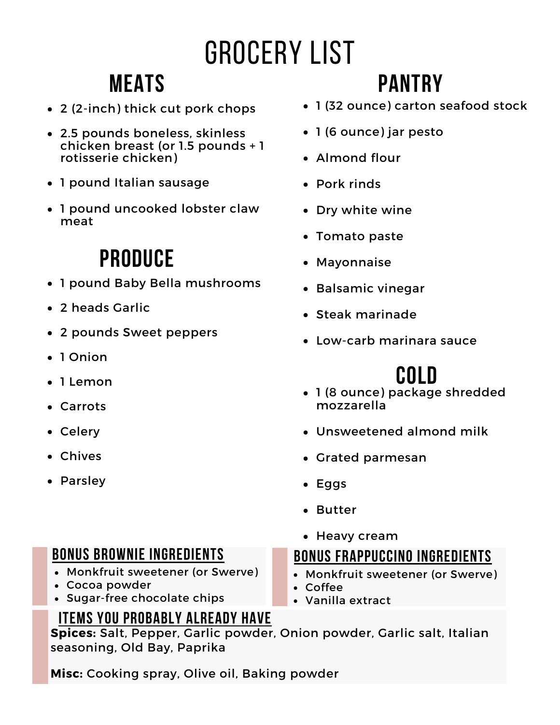# Grocery List

### **Meats**

- 2 (2-inch) thick cut pork chops
- 2.5 pounds boneless, skinless chicken breast (or 1.5 pounds + 1 rotisserie chicken)
- 1 pound Italian sausage
- 1 pound uncooked lobster claw meat

## **Produce**

- 1 pound Baby Bella mushrooms
- 2 heads Garlic
- 2 pounds Sweet peppers
- 1 Onion
- $\bullet$  lemon
- Carrots
- Celery
- Chives
- Parsley

#### **Bonus brownie ingredients**

- Monkfruit sweetener (or Swerve)
- Cocoa powder
- Sugar-free chocolate chips

#### **Items you probably already have**

## **Pantry**

- 1 (32 ounce) carton seafood stock
- 1 (6 ounce) jar pesto
- Almond flour
- Pork rinds
- Dry white wine
- Tomato paste
- Mayonnaise
- Balsamic vinegar
- Steak marinade
- Low-carb marinara sauce

### **Cold**

- 1 (8 ounce) package shredded mozzarella
- Unsweetened almond milk
- Grated parmesan
- Eggs
- Butter
- Heavy cream

#### **Bonus frappuccino ingredients**

- Monkfruit sweetener (or Swerve)
- Coffee
- Vanilla extract

**Spices:** Salt, Pepper, Garlic powder, Onion powder, Garlic salt, Italian seasoning, Old Bay, Paprika

**Misc:** Cooking spray, Olive oil, Baking powder